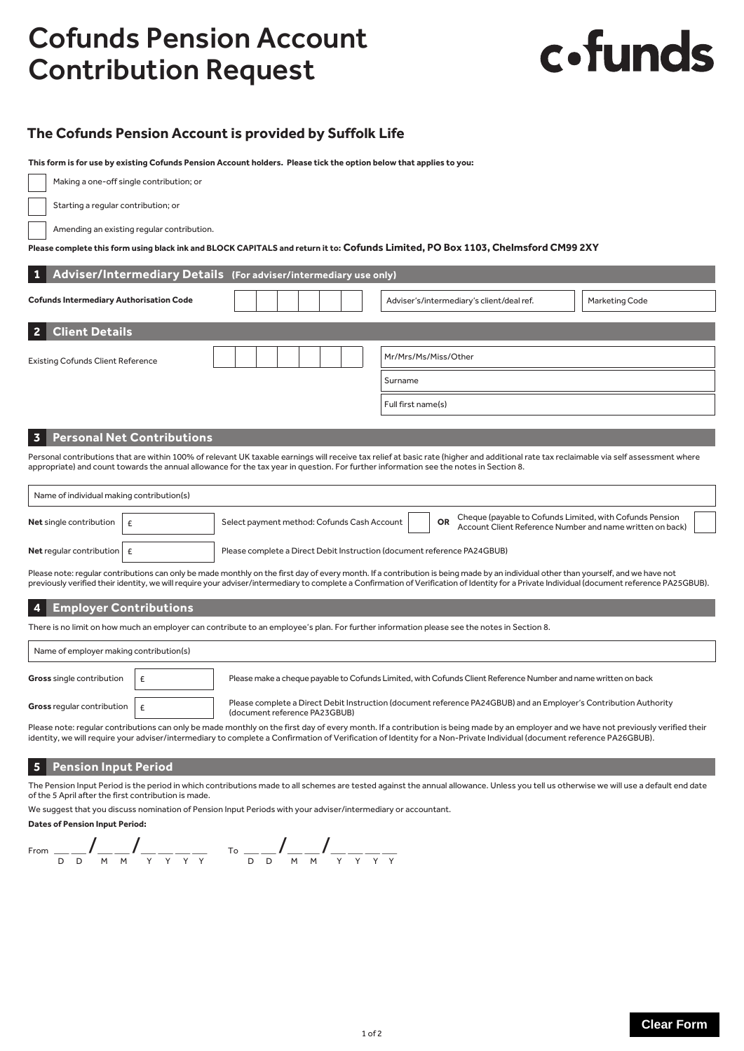# Cofunds Pension Account Contribution Request

# c.funds

## **The Cofunds Pension Account is provided by Suffolk Life**

**This form is for use by existing Cofunds Pension Account holders. Please tick the option below that applies to you:**

Making a one-off single contribution; or

Starting a regular contribution; or

Amending an existing regular contribution.

#### **Please complete this form using black ink and BLOCK CAPITALS and return it to: Cofunds Limited, PO Box 1103, Chelmsford CM99 2XY**

|                                                                                                                                                                                         | 1 Adviser/Intermediary Details (For adviser/intermediary use only) |                      |                                           |                       |  |  |  |
|-----------------------------------------------------------------------------------------------------------------------------------------------------------------------------------------|--------------------------------------------------------------------|----------------------|-------------------------------------------|-----------------------|--|--|--|
|                                                                                                                                                                                         | <b>Cofunds Intermediary Authorisation Code</b>                     |                      | Adviser's/intermediary's client/deal ref. | <b>Marketing Code</b> |  |  |  |
| 2 <sup>1</sup>                                                                                                                                                                          | <b>Client Details</b>                                              |                      |                                           |                       |  |  |  |
| <b>Existing Cofunds Client Reference</b>                                                                                                                                                |                                                                    | Mr/Mrs/Ms/Miss/Other |                                           |                       |  |  |  |
|                                                                                                                                                                                         |                                                                    |                      | Surname                                   |                       |  |  |  |
|                                                                                                                                                                                         |                                                                    |                      | Full first name(s)                        |                       |  |  |  |
|                                                                                                                                                                                         |                                                                    |                      |                                           |                       |  |  |  |
|                                                                                                                                                                                         | 3 Personal Net Contributions                                       |                      |                                           |                       |  |  |  |
| Personal contributions that are within 100% of relevant UK taxable earnings will receive tax relief at basic rate (higher and additional rate tax reclaimable via self assessment where |                                                                    |                      |                                           |                       |  |  |  |

appropriate) and count towards the annual allowance for the tax year in question. For further information see the notes in Section 8.

| Name of individual making contribution(s) |  |                                                                          |    |                                                                                                                       |  |  |  |  |
|-------------------------------------------|--|--------------------------------------------------------------------------|----|-----------------------------------------------------------------------------------------------------------------------|--|--|--|--|
| <b>Net</b> single contribution            |  | Select payment method: Cofunds Cash Account                              | OR | Cheque (payable to Cofunds Limited, with Cofunds Pension<br>Account Client Reference Number and name written on back) |  |  |  |  |
| Net regular contribution                  |  | Please complete a Direct Debit Instruction (document reference PA24GBUB) |    |                                                                                                                       |  |  |  |  |

Please note: regular contributions can only be made monthly on the first day of every month. If a contribution is being made by an individual other than yourself, and we have not previously verified their identity, we will require your adviser/intermediary to complete a Confirmation of Verification of Identity for a Private Individual (document reference PA25GBUB).

## **4 Employer Contributions**

There is no limit on how much an employer can contribute to an employee's plan. For further information please see the notes in Section 8.

# Name of employer making contribution(s) Gross single contribution  $\epsilon$   $\epsilon$  Please make a cheque payable to Cofunds Limited, with Cofunds Client Reference Number and name written on back Gross regular contribution  $\epsilon$  Please complete a Direct Debit Instruction (document reference PA24GBUB) and an Employer's Contribution Authority (document reference PA23GBUB)

Please note: regular contributions can only be made monthly on the first day of every month. If a contribution is being made by an employer and we have not previously verified their identity, we will require your adviser/intermediary to complete a Confirmation of Verification of Identity for a Non-Private Individual (document reference PA26GBUB).

## **5 Pension Input Period**

The Pension Input Period is the period in which contributions made to all schemes are tested against the annual allowance. Unless you tell us otherwise we will use a default end date of the 5 April after the first contribution is made.

We suggest that you discuss nomination of Pension Input Periods with your adviser/intermediary or accountant.

#### **Dates of Pension Input Period:**

From  $\frac{1}{\sqrt{D}}\int_{\frac{M}{M}} \frac{1}{\sqrt{M}} \int_{\frac{M}{\sqrt{N}} \cdot \frac{M}{\sqrt{N}} \cdot \frac{M}{\sqrt{N}}}$  To  $\frac{1}{\sqrt{D}} \int_{\frac{M}{\sqrt{M}} \cdot \frac{M}{\sqrt{N}}} \int_{\frac{M}{\sqrt{N}} \cdot \frac{M}{\sqrt{N}}}$